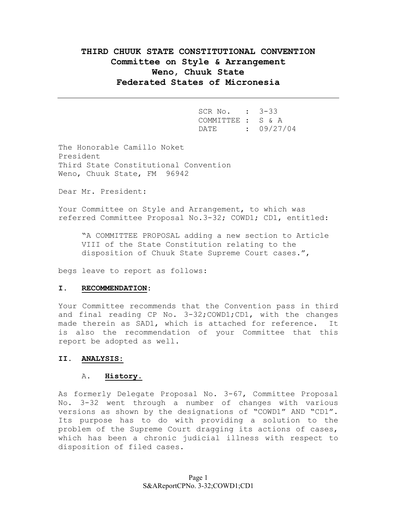# **THIRD CHUUK STATE CONSTITUTIONAL CONVENTION Committee on Style & Arrangement Weno, Chuuk State Federated States of Micronesia**

| SCR No. : 3-33    |                 |
|-------------------|-----------------|
| COMMITTEE : S & A |                 |
|                   | DATE : 09/27/04 |

The Honorable Camillo Noket President Third State Constitutional Convention Weno, Chuuk State, FM 96942

Dear Mr. President:

Your Committee on Style and Arrangement, to which was referred Committee Proposal No.3-32; COWD1; CD1, entitled:

"A COMMITTEE PROPOSAL adding a new section to Article VIII of the State Constitution relating to the disposition of Chuuk State Supreme Court cases.",

begs leave to report as follows:

## **I. RECOMMENDATION:**

Your Committee recommends that the Convention pass in third and final reading CP No. 3-32;COWD1;CD1, with the changes made therein as SAD1, which is attached for reference. It is also the recommendation of your Committee that this report be adopted as well.

### **II. ANALYSIS:**

### A. **History**.

As formerly Delegate Proposal No. 3-67, Committee Proposal No. 3-32 went through a number of changes with various versions as shown by the designations of "COWD1" AND "CD1". Its purpose has to do with providing a solution to the problem of the Supreme Court dragging its actions of cases, which has been a chronic judicial illness with respect to disposition of filed cases.